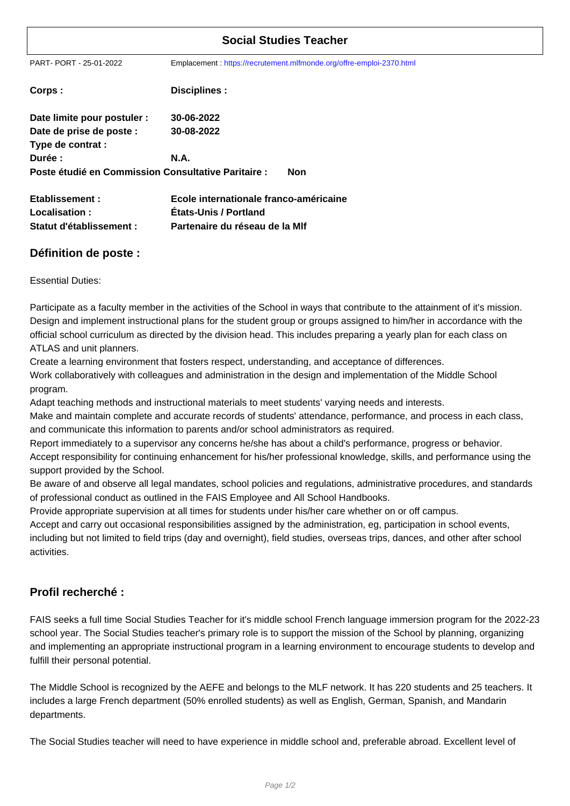| <b>Social Studies Teacher</b>                       |                                                                      |  |
|-----------------------------------------------------|----------------------------------------------------------------------|--|
| PART-PORT-25-01-2022                                | Emplacement: https://recrutement.mlfmonde.org/offre-emploi-2370.html |  |
| Corps:                                              | Disciplines :                                                        |  |
| Date limite pour postuler :                         | 30-06-2022                                                           |  |
| Date de prise de poste :                            | 30-08-2022                                                           |  |
| Type de contrat :                                   |                                                                      |  |
| Durée :                                             | <b>N.A.</b>                                                          |  |
| Poste étudié en Commission Consultative Paritaire : | <b>Non</b>                                                           |  |
| Etablissement:                                      | Ecole internationale franco-américaine                               |  |
| Localisation:                                       | <b>Etats-Unis / Portland</b>                                         |  |
| Statut d'établissement :                            | Partenaire du réseau de la MIf                                       |  |

## **Définition de poste :**

Essential Duties:

Participate as a faculty member in the activities of the School in ways that contribute to the attainment of it's mission. Design and implement instructional plans for the student group or groups assigned to him/her in accordance with the official school curriculum as directed by the division head. This includes preparing a yearly plan for each class on ATLAS and unit planners.

Create a learning environment that fosters respect, understanding, and acceptance of differences.

Work collaboratively with colleagues and administration in the design and implementation of the Middle School program.

Adapt teaching methods and instructional materials to meet students' varying needs and interests.

Make and maintain complete and accurate records of students' attendance, performance, and process in each class, and communicate this information to parents and/or school administrators as required.

Report immediately to a supervisor any concerns he/she has about a child's performance, progress or behavior.

Accept responsibility for continuing enhancement for his/her professional knowledge, skills, and performance using the support provided by the School.

Be aware of and observe all legal mandates, school policies and regulations, administrative procedures, and standards of professional conduct as outlined in the FAIS Employee and All School Handbooks.

Provide appropriate supervision at all times for students under his/her care whether on or off campus.

Accept and carry out occasional responsibilities assigned by the administration, eg, participation in school events, including but not limited to field trips (day and overnight), field studies, overseas trips, dances, and other after school activities.

## **Profil recherché :**

FAIS seeks a full time Social Studies Teacher for it's middle school French language immersion program for the 2022-23 school year. The Social Studies teacher's primary role is to support the mission of the School by planning, organizing and implementing an appropriate instructional program in a learning environment to encourage students to develop and fulfill their personal potential.

The Middle School is recognized by the AEFE and belongs to the MLF network. It has 220 students and 25 teachers. It includes a large French department (50% enrolled students) as well as English, German, Spanish, and Mandarin departments.

The Social Studies teacher will need to have experience in middle school and, preferable abroad. Excellent level of